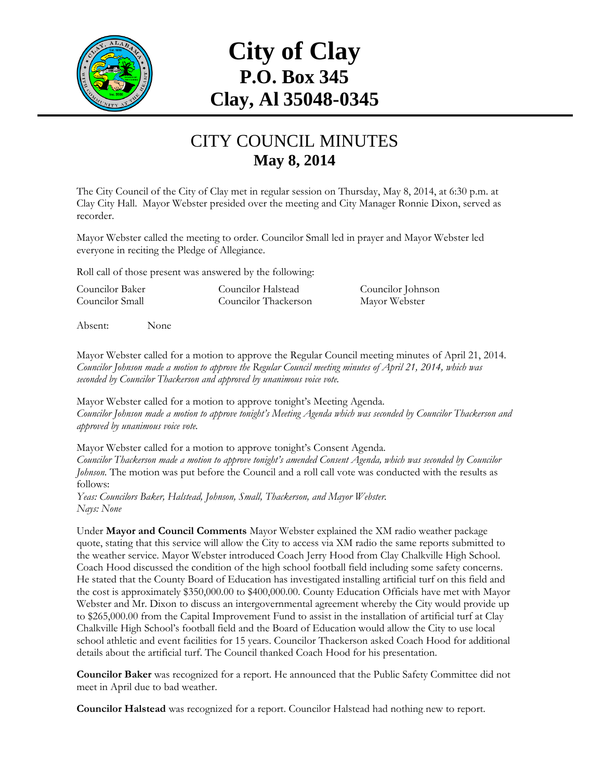

## **City of Clay P.O. Box 345 Clay, Al 35048-0345**

## CITY COUNCIL MINUTES **May 8, 2014**

The City Council of the City of Clay met in regular session on Thursday, May 8, 2014, at 6:30 p.m. at Clay City Hall. Mayor Webster presided over the meeting and City Manager Ronnie Dixon, served as recorder.

Mayor Webster called the meeting to order. Councilor Small led in prayer and Mayor Webster led everyone in reciting the Pledge of Allegiance.

Roll call of those present was answered by the following:

Councilor Baker Councilor Halstead Councilor Johnson Councilor Small Councilor Thackerson Mayor Webster

Absent: None

Mayor Webster called for a motion to approve the Regular Council meeting minutes of April 21, 2014. *Councilor Johnson made a motion to approve the Regular Council meeting minutes of April 21, 2014, which was seconded by Councilor Thackerson and approved by unanimous voice vote.*

Mayor Webster called for a motion to approve tonight's Meeting Agenda. *Councilor Johnson made a motion to approve tonight's Meeting Agenda which was seconded by Councilor Thackerson and approved by unanimous voice vote.*

Mayor Webster called for a motion to approve tonight's Consent Agenda. *Councilor Thackerson made a motion to approve tonight's amended Consent Agenda, which was seconded by Councilor Johnson.* The motion was put before the Council and a roll call vote was conducted with the results as follows:

*Yeas: Councilors Baker, Halstead, Johnson, Small, Thackerson, and Mayor Webster. Nays: None*

Under **Mayor and Council Comments** Mayor Webster explained the XM radio weather package quote, stating that this service will allow the City to access via XM radio the same reports submitted to the weather service. Mayor Webster introduced Coach Jerry Hood from Clay Chalkville High School. Coach Hood discussed the condition of the high school football field including some safety concerns. He stated that the County Board of Education has investigated installing artificial turf on this field and the cost is approximately \$350,000.00 to \$400,000.00. County Education Officials have met with Mayor Webster and Mr. Dixon to discuss an intergovernmental agreement whereby the City would provide up to \$265,000.00 from the Capital Improvement Fund to assist in the installation of artificial turf at Clay Chalkville High School's football field and the Board of Education would allow the City to use local school athletic and event facilities for 15 years. Councilor Thackerson asked Coach Hood for additional details about the artificial turf. The Council thanked Coach Hood for his presentation.

**Councilor Baker** was recognized for a report. He announced that the Public Safety Committee did not meet in April due to bad weather.

**Councilor Halstead** was recognized for a report. Councilor Halstead had nothing new to report.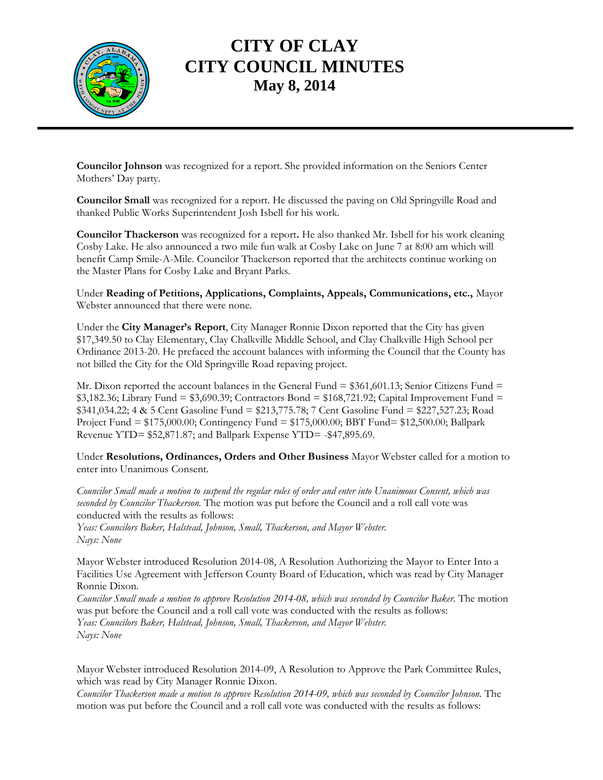

## **CITY OF CLAY CITY COUNCIL MINUTES May 8, 2014**

**Councilor Johnson** was recognized for a report. She provided information on the Seniors Center Mothers' Day party.

**Councilor Small** was recognized for a report. He discussed the paving on Old Springville Road and thanked Public Works Superintendent Josh Isbell for his work.

**Councilor Thackerson** was recognized for a report**.** He also thanked Mr. Isbell for his work cleaning Cosby Lake. He also announced a two mile fun walk at Cosby Lake on June 7 at 8:00 am which will benefit Camp Smile-A-Mile. Councilor Thackerson reported that the architects continue working on the Master Plans for Cosby Lake and Bryant Parks.

Under **Reading of Petitions, Applications, Complaints, Appeals, Communications, etc.,** Mayor Webster announced that there were none.

Under the **City Manager's Report**, City Manager Ronnie Dixon reported that the City has given \$17,349.50 to Clay Elementary, Clay Chalkville Middle School, and Clay Chalkville High School per Ordinance 2013-20. He prefaced the account balances with informing the Council that the County has not billed the City for the Old Springville Road repaving project.

Mr. Dixon reported the account balances in the General Fund  $= $361,601.13$ ; Senior Citizens Fund  $=$  $$3,182.36$ ; Library Fund =  $$3,690.39$ ; Contractors Bond =  $$168,721.92$ ; Capital Improvement Fund = \$341,034.22; 4 & 5 Cent Gasoline Fund = \$213,775.78; 7 Cent Gasoline Fund = \$227,527.23; Road Project Fund = \$175,000.00; Contingency Fund = \$175,000.00; BBT Fund= \$12,500.00; Ballpark Revenue YTD= \$52,871.87; and Ballpark Expense YTD= -\$47,895.69.

Under **Resolutions, Ordinances, Orders and Other Business** Mayor Webster called for a motion to enter into Unanimous Consent.

*Councilor Small made a motion to suspend the regular rules of order and enter into Unanimous Consent, which was seconded by Councilor Thackerson.* The motion was put before the Council and a roll call vote was conducted with the results as follows:

*Yeas: Councilors Baker, Halstead, Johnson, Small, Thackerson, and Mayor Webster. Nays: None*

Mayor Webster introduced Resolution 2014-08, A Resolution Authorizing the Mayor to Enter Into a Facilities Use Agreement with Jefferson County Board of Education, which was read by City Manager Ronnie Dixon.

*Councilor Small made a motion to approve Resolution 2014-08, which was seconded by Councilor Baker.* The motion was put before the Council and a roll call vote was conducted with the results as follows: *Yeas: Councilors Baker, Halstead, Johnson, Small, Thackerson, and Mayor Webster. Nays: None*

Mayor Webster introduced Resolution 2014-09, A Resolution to Approve the Park Committee Rules, which was read by City Manager Ronnie Dixon.

*Councilor Thackerson made a motion to approve Resolution 2014-09, which was seconded by Councilor Johnson.* The motion was put before the Council and a roll call vote was conducted with the results as follows: